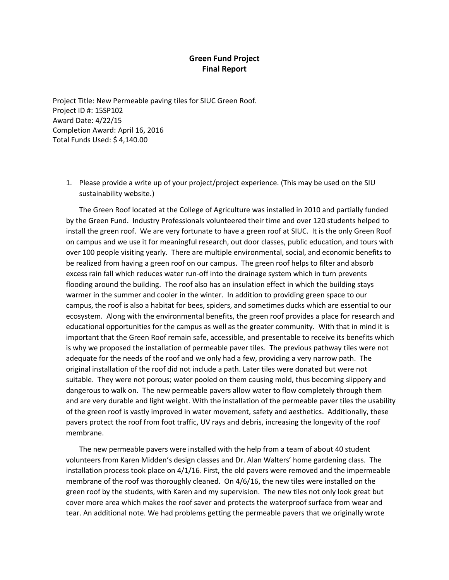## **Green Fund Project Final Report**

Project Title: New Permeable paving tiles for SIUC Green Roof. Project ID #: 15SP102 Award Date: 4/22/15 Completion Award: April 16, 2016 Total Funds Used: \$ 4,140.00

1. Please provide a write up of your project/project experience. (This may be used on the SIU sustainability website.)

The Green Roof located at the College of Agriculture was installed in 2010 and partially funded by the Green Fund. Industry Professionals volunteered their time and over 120 students helped to install the green roof. We are very fortunate to have a green roof at SIUC. It is the only Green Roof on campus and we use it for meaningful research, out door classes, public education, and tours with over 100 people visiting yearly. There are multiple environmental, social, and economic benefits to be realized from having a green roof on our campus. The green roof helps to filter and absorb excess rain fall which reduces water run-off into the drainage system which in turn prevents flooding around the building. The roof also has an insulation effect in which the building stays warmer in the summer and cooler in the winter. In addition to providing green space to our campus, the roof is also a habitat for bees, spiders, and sometimes ducks which are essential to our ecosystem. Along with the environmental benefits, the green roof provides a place for research and educational opportunities for the campus as well as the greater community. With that in mind it is important that the Green Roof remain safe, accessible, and presentable to receive its benefits which is why we proposed the installation of permeable paver tiles. The previous pathway tiles were not adequate for the needs of the roof and we only had a few, providing a very narrow path. The original installation of the roof did not include a path. Later tiles were donated but were not suitable. They were not porous; water pooled on them causing mold, thus becoming slippery and dangerous to walk on. The new permeable pavers allow water to flow completely through them and are very durable and light weight. With the installation of the permeable paver tiles the usability of the green roof is vastly improved in water movement, safety and aesthetics. Additionally, these pavers protect the roof from foot traffic, UV rays and debris, increasing the longevity of the roof membrane.

The new permeable pavers were installed with the help from a team of about 40 student volunteers from Karen Midden's design classes and Dr. Alan Walters' home gardening class. The installation process took place on 4/1/16. First, the old pavers were removed and the impermeable membrane of the roof was thoroughly cleaned. On 4/6/16, the new tiles were installed on the green roof by the students, with Karen and my supervision. The new tiles not only look great but cover more area which makes the roof saver and protects the waterproof surface from wear and tear. An additional note. We had problems getting the permeable pavers that we originally wrote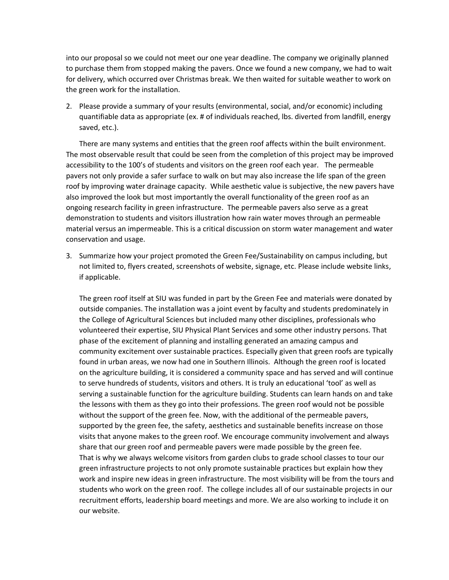into our proposal so we could not meet our one year deadline. The company we originally planned to purchase them from stopped making the pavers. Once we found a new company, we had to wait for delivery, which occurred over Christmas break. We then waited for suitable weather to work on the green work for the installation.

2. Please provide a summary of your results (environmental, social, and/or economic) including quantifiable data as appropriate (ex. # of individuals reached, lbs. diverted from landfill, energy saved, etc.).

There are many systems and entities that the green roof affects within the built environment. The most observable result that could be seen from the completion of this project may be improved accessibility to the 100's of students and visitors on the green roof each year. The permeable pavers not only provide a safer surface to walk on but may also increase the life span of the green roof by improving water drainage capacity. While aesthetic value is subjective, the new pavers have also improved the look but most importantly the overall functionality of the green roof as an ongoing research facility in green infrastructure. The permeable pavers also serve as a great demonstration to students and visitors illustration how rain water moves through an permeable material versus an impermeable. This is a critical discussion on storm water management and water conservation and usage.

3. Summarize how your project promoted the Green Fee/Sustainability on campus including, but not limited to, flyers created, screenshots of website, signage, etc. Please include website links, if applicable.

The green roof itself at SIU was funded in part by the Green Fee and materials were donated by outside companies. The installation was a joint event by faculty and students predominately in the College of Agricultural Sciences but included many other disciplines, professionals who volunteered their expertise, SIU Physical Plant Services and some other industry persons. That phase of the excitement of planning and installing generated an amazing campus and community excitement over sustainable practices. Especially given that green roofs are typically found in urban areas, we now had one in Southern Illinois. Although the green roof is located on the agriculture building, it is considered a community space and has served and will continue to serve hundreds of students, visitors and others. It is truly an educational 'tool' as well as serving a sustainable function for the agriculture building. Students can learn hands on and take the lessons with them as they go into their professions. The green roof would not be possible without the support of the green fee. Now, with the additional of the permeable pavers, supported by the green fee, the safety, aesthetics and sustainable benefits increase on those visits that anyone makes to the green roof. We encourage community involvement and always share that our green roof and permeable pavers were made possible by the green fee. That is why we always welcome visitors from garden clubs to grade school classes to tour our green infrastructure projects to not only promote sustainable practices but explain how they work and inspire new ideas in green infrastructure. The most visibility will be from the tours and students who work on the green roof. The college includes all of our sustainable projects in our recruitment efforts, leadership board meetings and more. We are also working to include it on our website.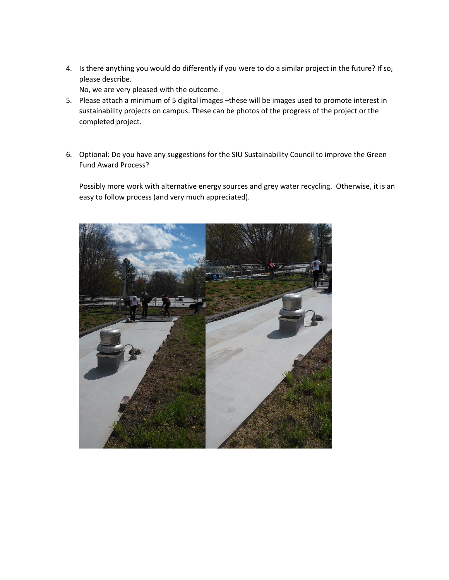4. Is there anything you would do differently if you were to do a similar project in the future? If so, please describe.

No, we are very pleased with the outcome.

- 5. Please attach a minimum of 5 digital images –these will be images used to promote interest in sustainability projects on campus. These can be photos of the progress of the project or the completed project.
- 6. Optional: Do you have any suggestions for the SIU Sustainability Council to improve the Green Fund Award Process?

Possibly more work with alternative energy sources and grey water recycling. Otherwise, it is an easy to follow process (and very much appreciated).

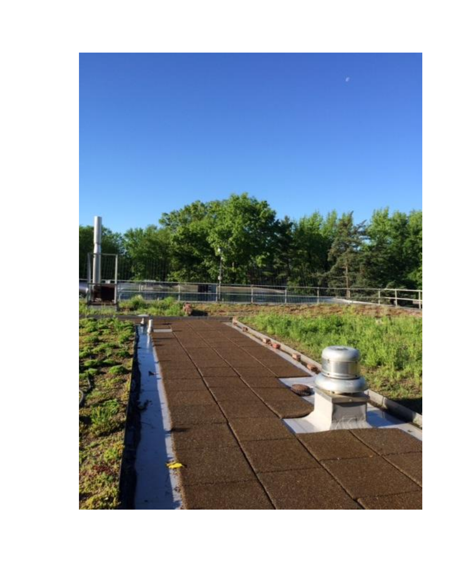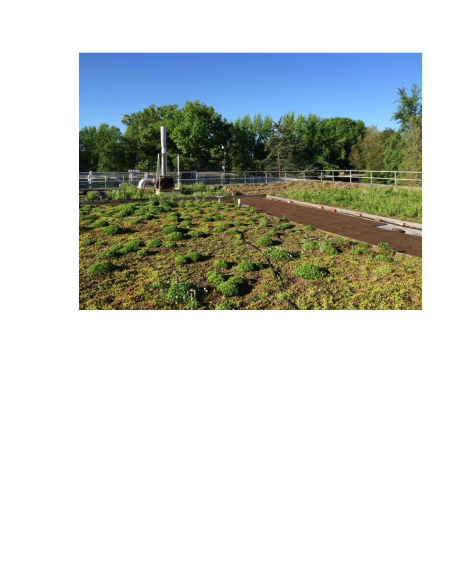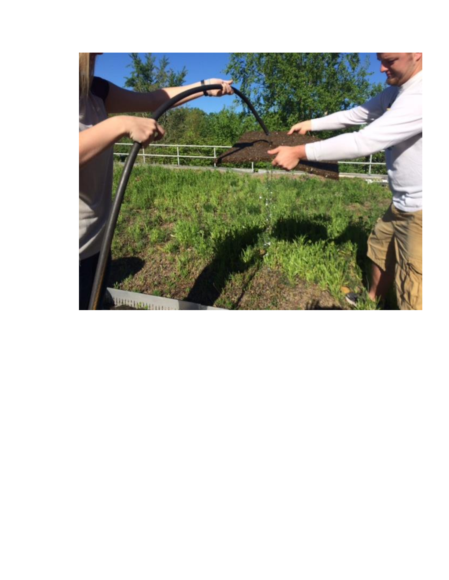